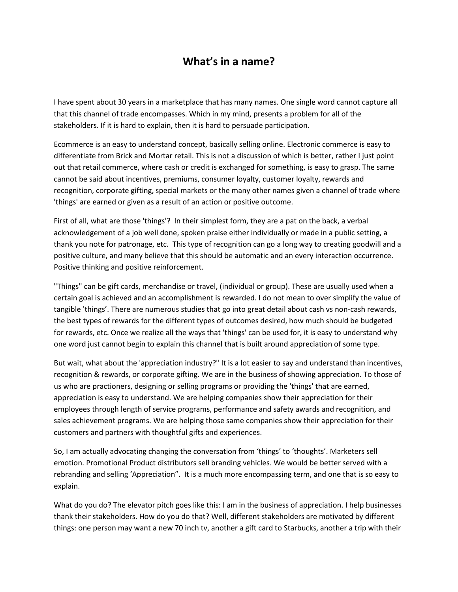## **What's in a name?**

I have spent about 30 years in a marketplace that has many names. One single word cannot capture all that this channel of trade encompasses. Which in my mind, presents a problem for all of the stakeholders. If it is hard to explain, then it is hard to persuade participation.

Ecommerce is an easy to understand concept, basically selling online. Electronic commerce is easy to differentiate from Brick and Mortar retail. This is not a discussion of which is better, rather I just point out that retail commerce, where cash or credit is exchanged for something, is easy to grasp. The same cannot be said about incentives, premiums, consumer loyalty, customer loyalty, rewards and recognition, corporate gifting, special markets or the many other names given a channel of trade where 'things' are earned or given as a result of an action or positive outcome.

First of all, what are those 'things'? In their simplest form, they are a pat on the back, a verbal acknowledgement of a job well done, spoken praise either individually or made in a public setting, a thank you note for patronage, etc. This type of recognition can go a long way to creating goodwill and a positive culture, and many believe that this should be automatic and an every interaction occurrence. Positive thinking and positive reinforcement.

"Things" can be gift cards, merchandise or travel, (individual or group). These are usually used when a certain goal is achieved and an accomplishment is rewarded. I do not mean to over simplify the value of tangible 'things'. There are numerous studies that go into great detail about cash vs non-cash rewards, the best types of rewards for the different types of outcomes desired, how much should be budgeted for rewards, etc. Once we realize all the ways that 'things' can be used for, it is easy to understand why one word just cannot begin to explain this channel that is built around appreciation of some type.

But wait, what about the 'appreciation industry?" It is a lot easier to say and understand than incentives, recognition & rewards, or corporate gifting. We are in the business of showing appreciation. To those of us who are practioners, designing or selling programs or providing the 'things' that are earned, appreciation is easy to understand. We are helping companies show their appreciation for their employees through length of service programs, performance and safety awards and recognition, and sales achievement programs. We are helping those same companies show their appreciation for their customers and partners with thoughtful gifts and experiences.

So, I am actually advocating changing the conversation from 'things' to 'thoughts'. Marketers sell emotion. Promotional Product distributors sell branding vehicles. We would be better served with a rebranding and selling 'Appreciation". It is a much more encompassing term, and one that is so easy to explain.

What do you do? The elevator pitch goes like this: I am in the business of appreciation. I help businesses thank their stakeholders. How do you do that? Well, different stakeholders are motivated by different things: one person may want a new 70 inch tv, another a gift card to Starbucks, another a trip with their